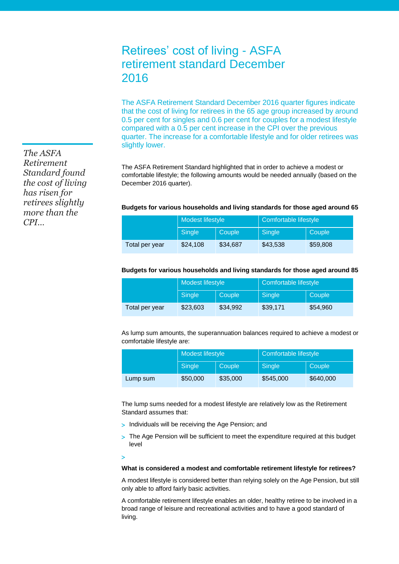# Retirees' cost of living - ASFA retirement standard December 2016

The ASFA Retirement Standard December 2016 quarter figures indicate that the cost of living for retirees in the 65 age group increased by around 0.5 per cent for singles and 0.6 per cent for couples for a modest lifestyle compared with a 0.5 per cent increase in the CPI over the previous quarter. The increase for a comfortable lifestyle and for older retirees was slightly lower.

The ASFA Retirement Standard highlighted that in order to achieve a modest or comfortable lifestyle; the following amounts would be needed annually (based on the December 2016 quarter).

## **Budgets for various households and living standards for those aged around 65**

|                | Modest lifestyle |               | Comfortable lifestyle |          |
|----------------|------------------|---------------|-----------------------|----------|
|                | Single           | <b>Couple</b> | Single                | Couple   |
| Total per year | \$24,108         | \$34.687      | \$43,538              | \$59,808 |

## **Budgets for various households and living standards for those aged around 85**

|                | Modest lifestyle |          | Comfortable lifestyle |          |
|----------------|------------------|----------|-----------------------|----------|
|                | Single           | Couple   | Single                | Couple   |
| Total per year | \$23,603         | \$34.992 | \$39,171              | \$54,960 |

As lump sum amounts, the superannuation balances required to achieve a modest or comfortable lifestyle are:

|          | Modest lifestyle |          | Comfortable lifestyle |           |
|----------|------------------|----------|-----------------------|-----------|
|          | Single           | Couple   | Single                | Couple    |
| Lump sum | \$50,000         | \$35,000 | \$545,000             | \$640,000 |

The lump sums needed for a modest lifestyle are relatively low as the Retirement Standard assumes that:

- > Individuals will be receiving the Age Pension; and
- > The Age Pension will be sufficient to meet the expenditure required at this budget level

#### $\mathbf{I}$

# **What is considered a modest and comfortable retirement lifestyle for retirees?**

A modest lifestyle is considered better than relying solely on the Age Pension, but still only able to afford fairly basic activities.

A comfortable retirement lifestyle enables an older, healthy retiree to be involved in a broad range of leisure and recreational activities and to have a good standard of living.

*The ASFA Retirement Standard found the cost of living has risen for retirees slightly more than the CPI…*